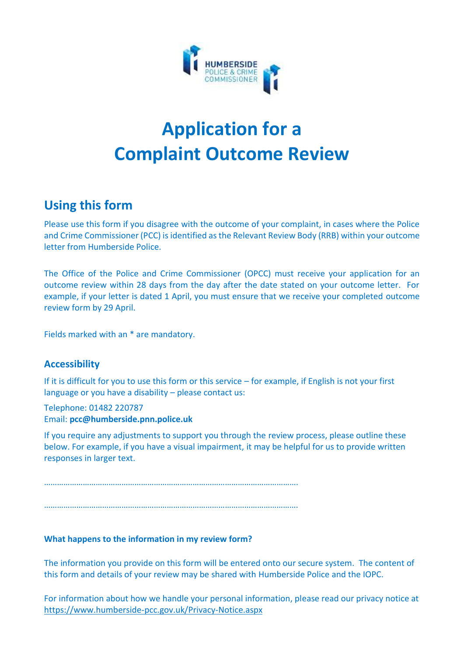

# **Application for a Complaint Outcome Review**

# **Using this form**

Please use this form if you disagree with the outcome of your complaint, in cases where the Police and Crime Commissioner (PCC) is identified as the Relevant Review Body (RRB) within your outcome letter from Humberside Police.

The Office of the Police and Crime Commissioner (OPCC) must receive your application for an outcome review within 28 days from the day after the date stated on your outcome letter. For example, if your letter is dated 1 April, you must ensure that we receive your completed outcome review form by 29 April.

Fields marked with an \* are mandatory.

#### **Accessibility**

If it is difficult for you to use this form or this service – for example, if English is not your first language or you have a disability – please contact us:

Telephone: 01482 220787 Email: **pcc@humberside.pnn.police.uk**

If you require any adjustments to support you through the review process, please outline these below. For example, if you have a visual impairment, it may be helpful for us to provide written responses in larger text.

……………………………………………………………………………………………………….

……………………………………………………………………………………………………….

#### **What happens to the information in my review form?**

The information you provide on this form will be entered onto our secure system. The content of this form and details of your review may be shared with Humberside Police and the IOPC.

For information about how we handle your personal information, please read our privacy notice at <https://www.humberside-pcc.gov.uk/Privacy-Notice.aspx>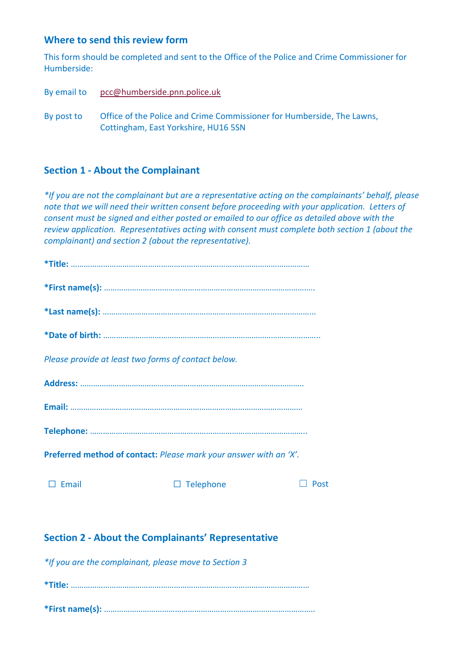#### **Where to send this review form**

This form should be completed and sent to the Office of the Police and Crime Commissioner for Humberside:

By email to [pcc@humberside.pnn.police.uk](mailto:pcc@humberside.pnn.police.uk)

By post to Office of the Police and Crime Commissioner for Humberside, The Lawns, Cottingham, East Yorkshire, HU16 5SN

#### **Section 1 - About the Complainant**

*\*If you are not the complainant but are a representative acting on the complainants' behalf, please note that we will need their written consent before proceeding with your application. Letters of consent must be signed and either posted or emailed to our office as detailed above with the review application. Representatives acting with consent must complete both section 1 (about the complainant) and section 2 (about the representative).*

| Please provide at least two forms of contact below.               |                     |      |  |
|-------------------------------------------------------------------|---------------------|------|--|
|                                                                   |                     |      |  |
|                                                                   |                     |      |  |
|                                                                   |                     |      |  |
| Preferred method of contact: Please mark your answer with an 'X'. |                     |      |  |
| Email                                                             | Telephone<br>$\Box$ | Post |  |
|                                                                   |                     |      |  |

# **Section 2 - About the Complainants' Representative**

*\*If you are the complainant, please move to Section 3* **\*Title:** ………………………………………………………………………………………………… **\*First name(s):** ……………………………………………………………………………………..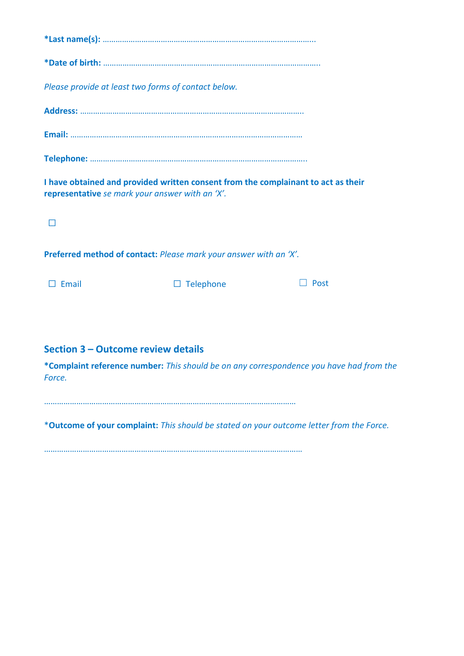| Please provide at least two forms of contact below.                                                                                  |
|--------------------------------------------------------------------------------------------------------------------------------------|
|                                                                                                                                      |
|                                                                                                                                      |
|                                                                                                                                      |
| I have obtained and provided written consent from the complainant to act as their<br>representative se mark your answer with an 'X'. |
|                                                                                                                                      |
| Preferred method of contact: Please mark your answer with an 'X'.                                                                    |

☐ Email ☐ Telephone ☐ Post

# **Section 3 – Outcome review details**

**\*Complaint reference number:** *This should be on any correspondence you have had from the Force.*

………………………………………………………………………………………………………

\***Outcome of your complaint:** *This should be stated on your outcome letter from the Force.* 

…………………………………………………………………………………………………………